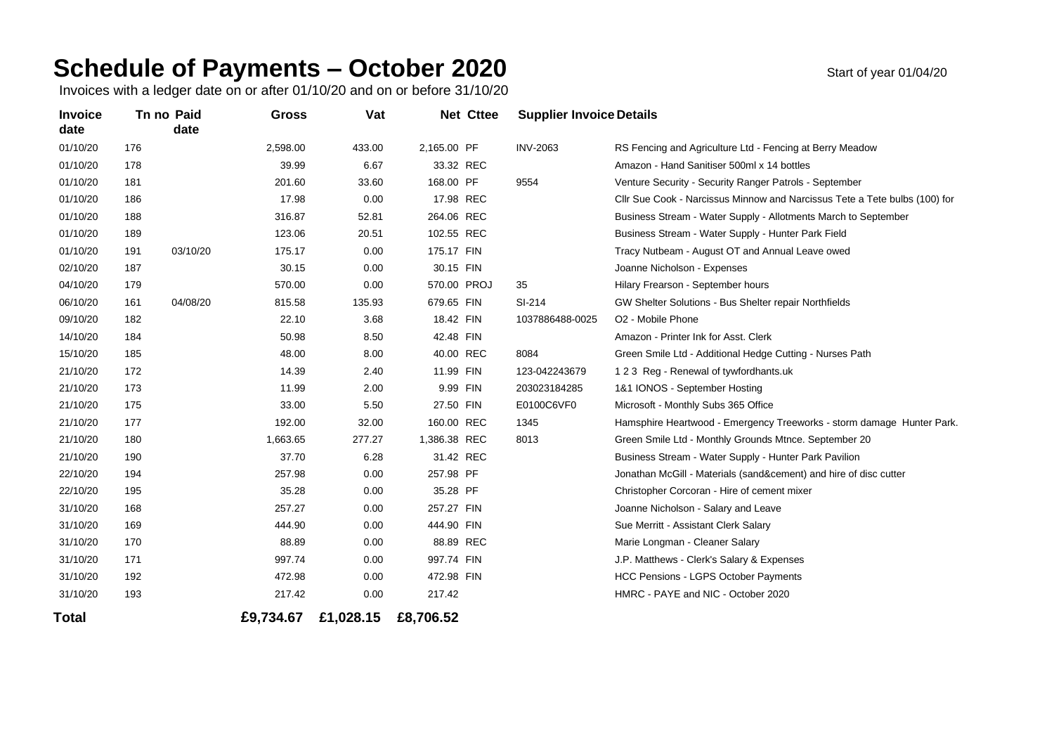## **Schedule of Payments – October 2020** Start of year 01/04/20

Invoices with a ledger date on or after 01/10/20 and on or before 31/10/20

| <b>Invoice</b><br>date |     | Tn no Paid<br>date | <b>Gross</b> | Vat       |              | <b>Net Cttee</b> | <b>Supplier Invoice Details</b> |                                                                            |
|------------------------|-----|--------------------|--------------|-----------|--------------|------------------|---------------------------------|----------------------------------------------------------------------------|
| 01/10/20               | 176 |                    | 2,598.00     | 433.00    | 2,165.00 PF  |                  | <b>INV-2063</b>                 | RS Fencing and Agriculture Ltd - Fencing at Berry Meadow                   |
| 01/10/20               | 178 |                    | 39.99        | 6.67      |              | 33.32 REC        |                                 | Amazon - Hand Sanitiser 500ml x 14 bottles                                 |
| 01/10/20               | 181 |                    | 201.60       | 33.60     | 168.00 PF    |                  | 9554                            | Venture Security - Security Ranger Patrols - September                     |
| 01/10/20               | 186 |                    | 17.98        | 0.00      | 17.98 REC    |                  |                                 | CIIr Sue Cook - Narcissus Minnow and Narcissus Tete a Tete bulbs (100) for |
| 01/10/20               | 188 |                    | 316.87       | 52.81     | 264.06 REC   |                  |                                 | Business Stream - Water Supply - Allotments March to September             |
| 01/10/20               | 189 |                    | 123.06       | 20.51     | 102.55 REC   |                  |                                 | Business Stream - Water Supply - Hunter Park Field                         |
| 01/10/20               | 191 | 03/10/20           | 175.17       | 0.00      | 175.17 FIN   |                  |                                 | Tracy Nutbeam - August OT and Annual Leave owed                            |
| 02/10/20               | 187 |                    | 30.15        | 0.00      | 30.15 FIN    |                  |                                 | Joanne Nicholson - Expenses                                                |
| 04/10/20               | 179 |                    | 570.00       | 0.00      |              | 570.00 PROJ      | 35                              | Hilary Frearson - September hours                                          |
| 06/10/20               | 161 | 04/08/20           | 815.58       | 135.93    | 679.65 FIN   |                  | SI-214                          | GW Shelter Solutions - Bus Shelter repair Northfields                      |
| 09/10/20               | 182 |                    | 22.10        | 3.68      | 18.42 FIN    |                  | 1037886488-0025                 | O <sub>2</sub> - Mobile Phone                                              |
| 14/10/20               | 184 |                    | 50.98        | 8.50      | 42.48 FIN    |                  |                                 | Amazon - Printer Ink for Asst. Clerk                                       |
| 15/10/20               | 185 |                    | 48.00        | 8.00      | 40.00 REC    |                  | 8084                            | Green Smile Ltd - Additional Hedge Cutting - Nurses Path                   |
| 21/10/20               | 172 |                    | 14.39        | 2.40      | 11.99 FIN    |                  | 123-042243679                   | 123 Reg - Renewal of tywfordhants.uk                                       |
| 21/10/20               | 173 |                    | 11.99        | 2.00      |              | 9.99 FIN         | 203023184285                    | 1&1 IONOS - September Hosting                                              |
| 21/10/20               | 175 |                    | 33.00        | 5.50      | 27.50 FIN    |                  | E0100C6VF0                      | Microsoft - Monthly Subs 365 Office                                        |
| 21/10/20               | 177 |                    | 192.00       | 32.00     | 160.00 REC   |                  | 1345                            | Hamsphire Heartwood - Emergency Treeworks - storm damage Hunter Park.      |
| 21/10/20               | 180 |                    | 1,663.65     | 277.27    | 1,386.38 REC |                  | 8013                            | Green Smile Ltd - Monthly Grounds Mtnce. September 20                      |
| 21/10/20               | 190 |                    | 37.70        | 6.28      |              | 31.42 REC        |                                 | Business Stream - Water Supply - Hunter Park Pavilion                      |
| 22/10/20               | 194 |                    | 257.98       | 0.00      | 257.98 PF    |                  |                                 | Jonathan McGill - Materials (sand&cement) and hire of disc cutter          |
| 22/10/20               | 195 |                    | 35.28        | 0.00      | 35.28 PF     |                  |                                 | Christopher Corcoran - Hire of cement mixer                                |
| 31/10/20               | 168 |                    | 257.27       | 0.00      | 257.27 FIN   |                  |                                 | Joanne Nicholson - Salary and Leave                                        |
| 31/10/20               | 169 |                    | 444.90       | 0.00      | 444.90 FIN   |                  |                                 | Sue Merritt - Assistant Clerk Salary                                       |
| 31/10/20               | 170 |                    | 88.89        | 0.00      | 88.89 REC    |                  |                                 | Marie Longman - Cleaner Salary                                             |
| 31/10/20               | 171 |                    | 997.74       | 0.00      | 997.74 FIN   |                  |                                 | J.P. Matthews - Clerk's Salary & Expenses                                  |
| 31/10/20               | 192 |                    | 472.98       | 0.00      | 472.98 FIN   |                  |                                 | <b>HCC Pensions - LGPS October Payments</b>                                |
| 31/10/20               | 193 |                    | 217.42       | 0.00      | 217.42       |                  |                                 | HMRC - PAYE and NIC - October 2020                                         |
| Total                  |     |                    | £9,734.67    | £1,028.15 | £8,706.52    |                  |                                 |                                                                            |